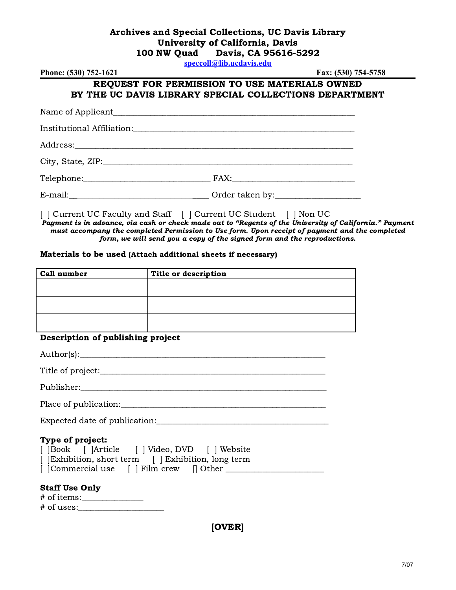## Archives and Special Collections, UC Davis Library University of California, Davis 100 NW Quad Davis, CA 95616-5292

**[speccoll@lib.ucdavis.edu](mailto:speccoll@lib.ucdavis.edu)**

| Phone: (530) 752-1621                                                                                                                                                                                                                                                | Fax: (530) 754-5758                                                                                     |
|----------------------------------------------------------------------------------------------------------------------------------------------------------------------------------------------------------------------------------------------------------------------|---------------------------------------------------------------------------------------------------------|
|                                                                                                                                                                                                                                                                      | REQUEST FOR PERMISSION TO USE MATERIALS OWNED<br>BY THE UC DAVIS LIBRARY SPECIAL COLLECTIONS DEPARTMENT |
|                                                                                                                                                                                                                                                                      |                                                                                                         |
|                                                                                                                                                                                                                                                                      |                                                                                                         |
|                                                                                                                                                                                                                                                                      |                                                                                                         |
|                                                                                                                                                                                                                                                                      |                                                                                                         |
|                                                                                                                                                                                                                                                                      |                                                                                                         |
|                                                                                                                                                                                                                                                                      |                                                                                                         |
| $\mathbf{1} \cap \mathbf{1}$ $\mathbf{1} \cap \mathbf{1}$ $\mathbf{1} \cap \mathbf{1}$ $\mathbf{1} \cap \mathbf{1}$ $\mathbf{1} \cap \mathbf{1}$ $\mathbf{1} \cap \mathbf{1}$ $\mathbf{1} \cap \mathbf{1}$ $\mathbf{1} \cap \mathbf{1}$ $\mathbf{1} \cap \mathbf{1}$ |                                                                                                         |

[ ] Current UC Faculty and Staff [ ] Current UC Student [ ] Non UC Payment is in advance, via cash or check made out to "Regents of the University of California." Payment must accompany the completed Permission to Use form. Upon receipt of payment and the completed form, we will send you a copy of the signed form and the reproductions.

#### Materials to be used (Attach additional sheets if necessary)

| <b>Call number</b> | Title or description |
|--------------------|----------------------|
|                    |                      |
|                    |                      |
|                    |                      |
|                    |                      |
|                    |                      |
|                    |                      |

### Description of publishing project

| Type of project:                                                                                    |
|-----------------------------------------------------------------------------------------------------|
| [  Book    Article     Video, DVD     Website<br>[ Exhibition, short term [ ] Exhibition, long term |
| <b>Staff Use Only</b>                                                                               |
|                                                                                                     |

[OVER]